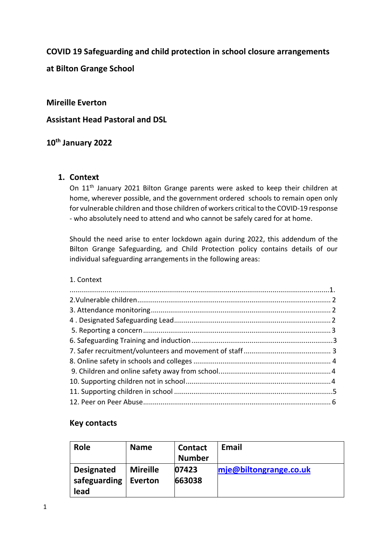## **COVID 19 Safeguarding and child protection in school closure arrangements**

**at Bilton Grange School**

#### **Mireille Everton**

### **Assistant Head Pastoral and DSL**

## **10th January 2022**

#### **1. Context**

On 11<sup>th</sup> January 2021 Bilton Grange parents were asked to keep their children at home, wherever possible, and the government ordered schools to remain open only for vulnerable children and those children of workers critical to the COVID-19 response - who absolutely need to attend and who cannot be safely cared for at home.

Should the need arise to enter lockdown again during 2022, this addendum of the Bilton Grange Safeguarding, and Child Protection policy contains details of our individual safeguarding arrangements in the following areas:

#### 1. Context

#### **Key contacts**

| Role                                      | <b>Name</b>                | <b>Contact</b><br><b>Number</b> | <b>Email</b>              |
|-------------------------------------------|----------------------------|---------------------------------|---------------------------|
| <b>Designated</b><br>safeguarding<br>lead | <b>Mireille</b><br>Everton | 07423<br>663038                 | $m$ je@biltongrange.co.uk |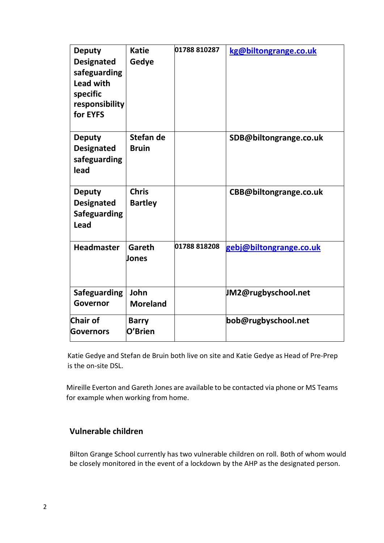| <b>Deputy</b><br><b>Designated</b><br>safeguarding<br><b>Lead with</b><br>specific<br>responsibility<br>for EYFS | <b>Katie</b><br>Gedye          | 01788 810287 | kg@biltongrange.co.uk   |
|------------------------------------------------------------------------------------------------------------------|--------------------------------|--------------|-------------------------|
| <b>Deputy</b><br><b>Designated</b><br>safeguarding<br>lead                                                       | Stefan de<br><b>Bruin</b>      |              | SDB@biltongrange.co.uk  |
| <b>Deputy</b><br><b>Designated</b><br><b>Safeguarding</b><br><b>Lead</b>                                         | <b>Chris</b><br><b>Bartley</b> |              | CBB@biltongrange.co.uk  |
| <b>Headmaster</b>                                                                                                | Gareth<br>Jones                | 01788 818208 | gebj@biltongrange.co.uk |
| <b>Safeguarding</b><br>Governor                                                                                  | John<br><b>Moreland</b>        |              | JM2@rugbyschool.net     |
| Chair of<br>Governors                                                                                            | <b>Barry</b><br>O'Brien        |              | bob@rugbyschool.net     |

Katie Gedye and Stefan de Bruin both live on site and Katie Gedye as Head of Pre-Prep is the on-site DSL.

Mireille Everton and Gareth Jones are available to be contacted via phone or MS Teams for example when working from home.

# **Vulnerable children**

Bilton Grange School currently has two vulnerable children on roll. Both of whom would be closely monitored in the event of a lockdown by the AHP as the designated person.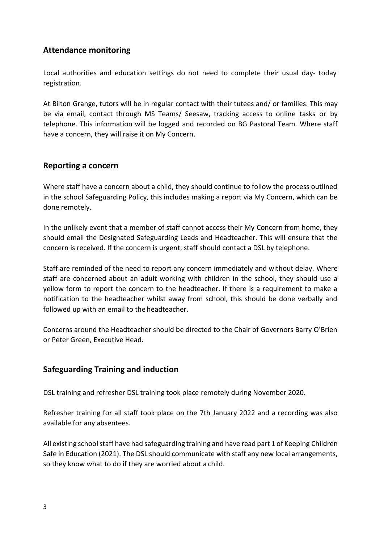## **Attendance monitoring**

Local authorities and education settings do not need to complete their usual day- today registration.

At Bilton Grange, tutors will be in regular contact with their tutees and/ or families. This may be via email, contact through MS Teams/ Seesaw, tracking access to online tasks or by telephone. This information will be logged and recorded on BG Pastoral Team. Where staff have a concern, they will raise it on My Concern.

## **Reporting a concern**

Where staff have a concern about a child, they should continue to follow the process outlined in the school Safeguarding Policy, this includes making a report via My Concern, which can be done remotely.

In the unlikely event that a member of staff cannot access their My Concern from home, they should email the Designated Safeguarding Leads and Headteacher. This will ensure that the concern is received. If the concern is urgent, staff should contact a DSL by telephone.

Staff are reminded of the need to report any concern immediately and without delay. Where staff are concerned about an adult working with children in the school, they should use a yellow form to report the concern to the headteacher. If there is a requirement to make a notification to the headteacher whilst away from school, this should be done verbally and followed up with an email to the headteacher.

Concerns around the Headteacher should be directed to the Chair of Governors Barry O'Brien or Peter Green, Executive Head.

# **Safeguarding Training and induction**

DSL training and refresher DSL training took place remotely during November 2020.

Refresher training for all staff took place on the 7th January 2022 and a recording was also available for any absentees.

All existing school staff have had safeguarding training and have read part 1 of Keeping Children Safe in Education (2021). The DSL should communicate with staff any new local arrangements, so they know what to do if they are worried about a child.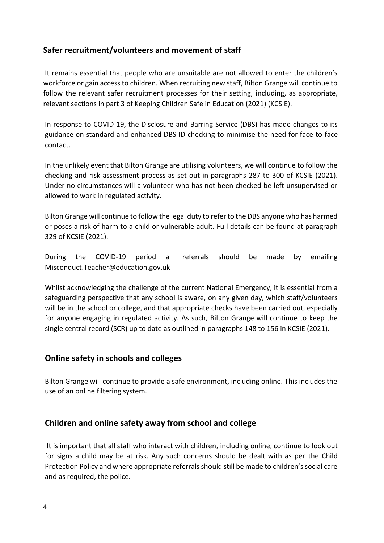## **Safer recruitment/volunteers and movement of staff**

It remains essential that people who are unsuitable are not allowed to enter the children's workforce or gain access to children. When recruiting new staff, Bilton Grange will continue to follow the relevant safer recruitment processes for their setting, including, as appropriate, relevant sections in part 3 of Keeping Children Safe in Education (2021) (KCSIE).

In response to COVID-19, the Disclosure and Barring Service (DBS) has made changes to its guidance on standard and enhanced DBS ID checking to minimise the need for face-to-face contact.

In the unlikely event that Bilton Grange are utilising volunteers, we will continue to follow the checking and risk assessment process as set out in paragraphs 287 to 300 of KCSIE (2021). Under no circumstances will a volunteer who has not been checked be left unsupervised or allowed to work in regulated activity.

Bilton Grange will continue to follow the legal duty to refer to the DBS anyone who has harmed or poses a risk of harm to a child or vulnerable adult. Full details can be found at paragraph 329 of KCSIE (2021).

During the COVID-19 period all referrals should be made by emailin[g](mailto:Misconduct.Teacher@education.gov.uk) [Misconduct.Teacher@education.gov.uk](mailto:Misconduct.Teacher@education.gov.uk)

Whilst acknowledging the challenge of the current National Emergency, it is essential from a safeguarding perspective that any school is aware, on any given day, which staff/volunteers will be in the school or college, and that appropriate checks have been carried out, especially for anyone engaging in regulated activity. As such, Bilton Grange will continue to keep the single central record (SCR) up to date as outlined in paragraphs 148 to 156 in KCSIE (2021).

## **Online safety in schools and colleges**

Bilton Grange will continue to provide a safe environment, including online. This includes the use of an online filtering system.

## **Children and online safety away from school and college**

It is important that all staff who interact with children, including online, continue to look out for signs a child may be at risk. Any such concerns should be dealt with as per the Child Protection Policy and where appropriate referrals should still be made to children's social care and as required, the police.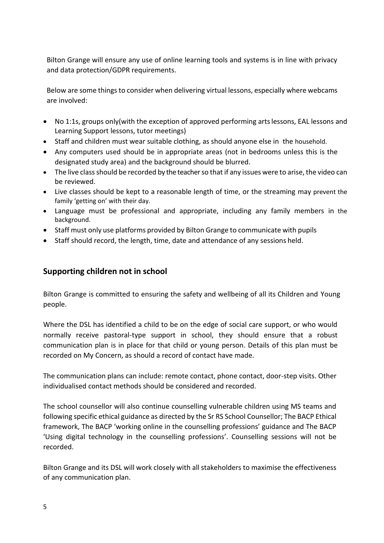Bilton Grange will ensure any use of online learning tools and systems is in line with privacy and data protection/GDPR requirements.

Below are some things to consider when delivering virtual lessons, especially where webcams are involved:

- No 1:1s, groups only(with the exception of approved performing artslessons, EAL lessons and Learning Support lessons, tutor meetings)
- Staff and children must wear suitable clothing, as should anyone else in the household.
- Any computers used should be in appropriate areas (not in bedrooms unless this is the designated study area) and the background should be blurred.
- The live class should be recorded by the teacher so that if any issues were to arise, the video can be reviewed.
- Live classes should be kept to a reasonable length of time, or the streaming may prevent the family 'getting on' with their day.
- Language must be professional and appropriate, including any family members in the background.
- Staff must only use platforms provided by Bilton Grange to communicate with pupils
- Staff should record, the length, time, date and attendance of any sessions held.

# **Supporting children not in school**

Bilton Grange is committed to ensuring the safety and wellbeing of all its Children and Young people.

Where the DSL has identified a child to be on the edge of social care support, or who would normally receive pastoral-type support in school, they should ensure that a robust communication plan is in place for that child or young person. Details of this plan must be recorded on My Concern, as should a record of contact have made.

The communication plans can include: remote contact, phone contact, door-step visits. Other individualised contact methods should be considered and recorded.

The school counsellor will also continue counselling vulnerable children using MS teams and following specific ethical guidance as directed by the Sr RS School Counsellor; The BACP Ethical framework, The BACP 'working online in the counselling professions' guidance and The BACP 'Using digital technology in the counselling professions'. Counselling sessions will not be recorded.

Bilton Grange and its DSL will work closely with all stakeholders to maximise the effectiveness of any communication plan.